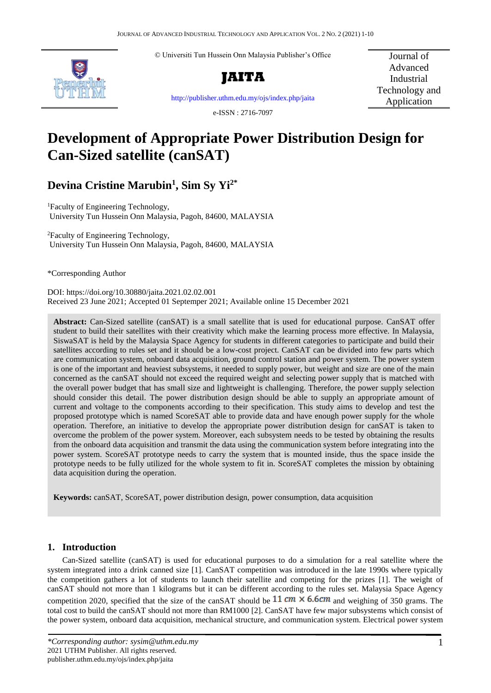© Universiti Tun Hussein Onn Malaysia Publisher's Office



**JAITA**

Journal of Advanced Industrial Technology and Application

<http://publisher.uthm.edu.my/ojs/index.php/jaita>

e-ISSN : 2716-7097

# **Development of Appropriate Power Distribution Design for Can-Sized satellite (canSAT)**

## **Devina Cristine Marubin<sup>1</sup> , Sim Sy Yi2\***

<sup>1</sup>Faculty of Engineering Technology, University Tun Hussein Onn Malaysia, Pagoh, 84600, MALAYSIA

<sup>2</sup>Faculty of Engineering Technology, University Tun Hussein Onn Malaysia, Pagoh, 84600, MALAYSIA

\*Corresponding Author

DOI: https://doi.org/10.30880/jaita.2021.02.02.001 Received 23 June 2021; Accepted 01 Septemper 2021; Available online 15 December 2021

**Abstract:** Can-Sized satellite (canSAT) is a small satellite that is used for educational purpose. CanSAT offer student to build their satellites with their creativity which make the learning process more effective. In Malaysia, SiswaSAT is held by the Malaysia Space Agency for students in different categories to participate and build their satellites according to rules set and it should be a low-cost project. CanSAT can be divided into few parts which are communication system, onboard data acquisition, ground control station and power system. The power system is one of the important and heaviest subsystems, it needed to supply power, but weight and size are one of the main concerned as the canSAT should not exceed the required weight and selecting power supply that is matched with the overall power budget that has small size and lightweight is challenging. Therefore, the power supply selection should consider this detail. The power distribution design should be able to supply an appropriate amount of current and voltage to the components according to their specification. This study aims to develop and test the proposed prototype which is named ScoreSAT able to provide data and have enough power supply for the whole operation. Therefore, an initiative to develop the appropriate power distribution design for canSAT is taken to overcome the problem of the power system. Moreover, each subsystem needs to be tested by obtaining the results from the onboard data acquisition and transmit the data using the communication system before integrating into the power system. ScoreSAT prototype needs to carry the system that is mounted inside, thus the space inside the prototype needs to be fully utilized for the whole system to fit in. ScoreSAT completes the mission by obtaining data acquisition during the operation.

**Keywords:** canSAT, ScoreSAT, power distribution design, power consumption, data acquisition

## **1. Introduction**

Can-Sized satellite (canSAT) is used for educational purposes to do a simulation for a real satellite where the system integrated into a drink canned size [1]. CanSAT competition was introduced in the late 1990s where typically the competition gathers a lot of students to launch their satellite and competing for the prizes [1]. The weight of canSAT should not more than 1 kilograms but it can be different according to the rules set. Malaysia Space Agency competition 2020, specified that the size of the canSAT should be  $11\,cm \times 6.6\,cm$  and weighing of 350 grams. The total cost to build the canSAT should not more than RM1000 [2]. CanSAT have few major subsystems which consist of the power system, onboard data acquisition, mechanical structure, and communication system. Electrical power system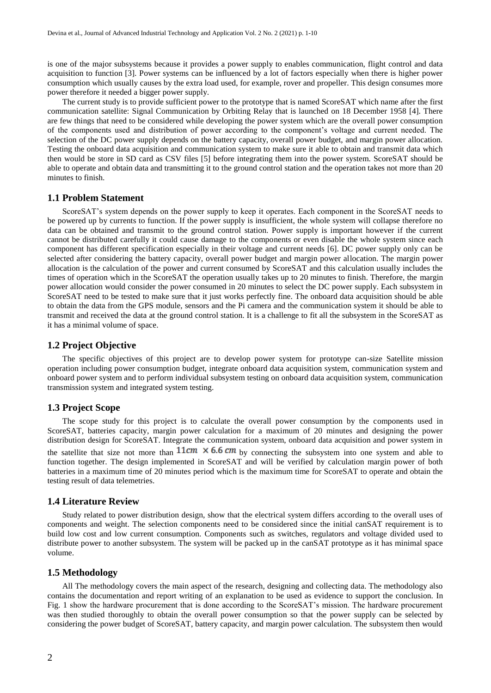is one of the major subsystems because it provides a power supply to enables communication, flight control and data acquisition to function [3]. Power systems can be influenced by a lot of factors especially when there is higher power consumption which usually causes by the extra load used, for example, rover and propeller. This design consumes more power therefore it needed a bigger power supply.

The current study is to provide sufficient power to the prototype that is named ScoreSAT which name after the first communication satellite: Signal Communication by Orbiting Relay that is launched on 18 December 1958 [4]. There are few things that need to be considered while developing the power system which are the overall power consumption of the components used and distribution of power according to the component's voltage and current needed. The selection of the DC power supply depends on the battery capacity, overall power budget, and margin power allocation. Testing the onboard data acquisition and communication system to make sure it able to obtain and transmit data which then would be store in SD card as CSV files [5] before integrating them into the power system. ScoreSAT should be able to operate and obtain data and transmitting it to the ground control station and the operation takes not more than 20 minutes to finish.

#### **1.1 Problem Statement**

ScoreSAT's system depends on the power supply to keep it operates. Each component in the ScoreSAT needs to be powered up by currents to function. If the power supply is insufficient, the whole system will collapse therefore no data can be obtained and transmit to the ground control station. Power supply is important however if the current cannot be distributed carefully it could cause damage to the components or even disable the whole system since each component has different specification especially in their voltage and current needs [6]. DC power supply only can be selected after considering the battery capacity, overall power budget and margin power allocation. The margin power allocation is the calculation of the power and current consumed by ScoreSAT and this calculation usually includes the times of operation which in the ScoreSAT the operation usually takes up to 20 minutes to finish. Therefore, the margin power allocation would consider the power consumed in 20 minutes to select the DC power supply. Each subsystem in ScoreSAT need to be tested to make sure that it just works perfectly fine. The onboard data acquisition should be able to obtain the data from the GPS module, sensors and the Pi camera and the communication system it should be able to transmit and received the data at the ground control station. It is a challenge to fit all the subsystem in the ScoreSAT as it has a minimal volume of space.

#### **1.2 Project Objective**

The specific objectives of this project are to develop power system for prototype can-size Satellite mission operation including power consumption budget, integrate onboard data acquisition system, communication system and onboard power system and to perform individual subsystem testing on onboard data acquisition system, communication transmission system and integrated system testing.

#### **1.3 Project Scope**

The scope study for this project is to calculate the overall power consumption by the components used in ScoreSAT, batteries capacity, margin power calculation for a maximum of 20 minutes and designing the power distribution design for ScoreSAT. Integrate the communication system, onboard data acquisition and power system in the satellite that size not more than  $11cm \times 6.6cm$  by connecting the subsystem into one system and able to function together. The design implemented in ScoreSAT and will be verified by calculation margin power of both batteries in a maximum time of 20 minutes period which is the maximum time for ScoreSAT to operate and obtain the testing result of data telemetries.

#### **1.4 Literature Review**

Study related to power distribution design, show that the electrical system differs according to the overall uses of components and weight. The selection components need to be considered since the initial canSAT requirement is to build low cost and low current consumption. Components such as switches, regulators and voltage divided used to distribute power to another subsystem. The system will be packed up in the canSAT prototype as it has minimal space volume.

## **1.5 Methodology**

All The methodology covers the main aspect of the research, designing and collecting data. The methodology also contains the documentation and report writing of an explanation to be used as evidence to support the conclusion. In Fig. 1 show the hardware procurement that is done according to the ScoreSAT's mission. The hardware procurement was then studied thoroughly to obtain the overall power consumption so that the power supply can be selected by considering the power budget of ScoreSAT, battery capacity, and margin power calculation. The subsystem then would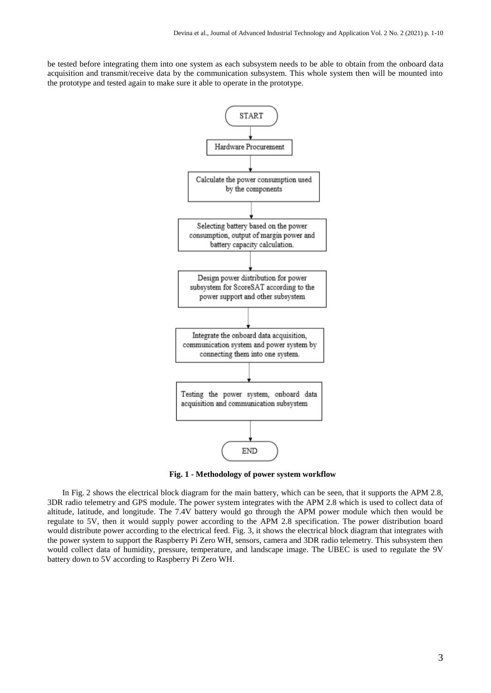be tested before integrating them into one system as each subsystem needs to be able to obtain from the onboard data acquisition and transmit/receive data by the communication subsystem. This whole system then will be mounted into the prototype and tested again to make sure it able to operate in the prototype.



**Fig. 1 - Methodology of power system workflow**

In Fig. 2 shows the electrical block diagram for the main battery, which can be seen, that it supports the APM 2.8, 3DR radio telemetry and GPS module. The power system integrates with the APM 2.8 which is used to collect data of altitude, latitude, and longitude. The 7.4V battery would go through the APM power module which then would be regulate to 5V, then it would supply power according to the APM 2.8 specification. The power distribution board would distribute power according to the electrical feed. Fig. 3, it shows the electrical block diagram that integrates with the power system to support the Raspberry Pi Zero WH, sensors, camera and 3DR radio telemetry. This subsystem then would collect data of humidity, pressure, temperature, and landscape image. The UBEC is used to regulate the 9V battery down to 5V according to Raspberry Pi Zero WH.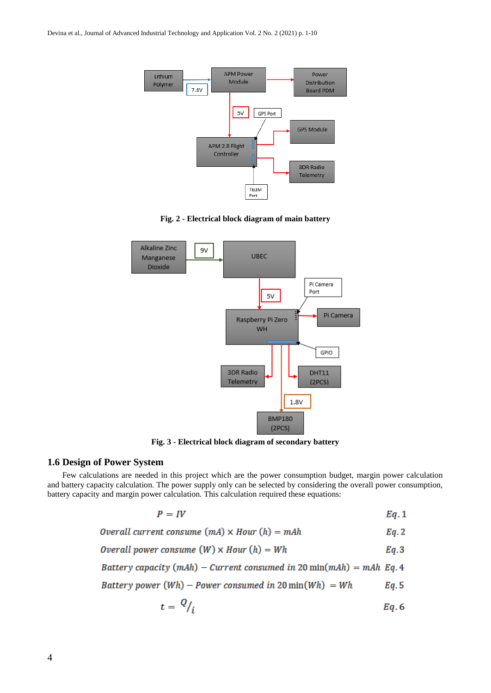

**Fig. 2 - Electrical block diagram of main battery**



**Fig. 3 - Electrical block diagram of secondary battery**

## **1.6 Design of Power System**

Few calculations are needed in this project which are the power consumption budget, margin power calculation and battery capacity calculation. The power supply only can be selected by considering the overall power consumption, battery capacity and margin power calculation. This calculation required these equations:

$$
P = IV \hspace{1.5cm} Eq. 1
$$

Overall current consume  $(mA) \times Hour(h) = mAh$  $Eq. 2$ 

*Overall power consume* (*W*) × *Hour* (*h*) = *Wh* 
$$
Eq.3
$$

Battery capacity (mAh) - Current consumed in 20 min(mAh) = mAh Eq. 4

Battery power  $(Wh)$  – Power consumed in 20 min $(Wh)$  = Wh  $Eq. 5$ 

$$
t = \frac{Q}{i} \qquad \qquad Eq. 6
$$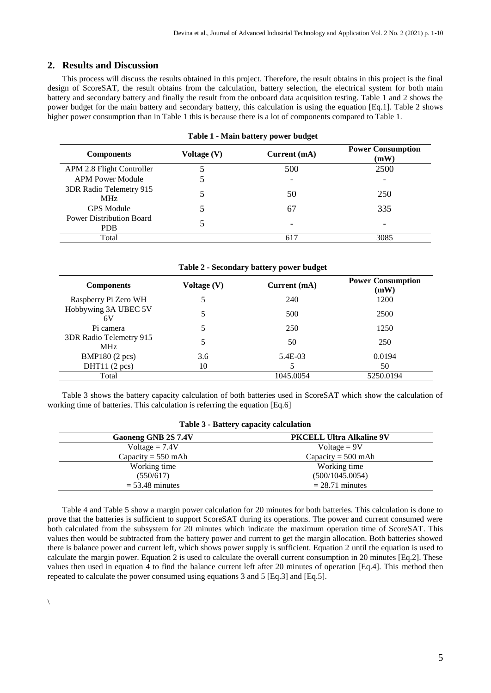## **2. Results and Discussion**

This process will discuss the results obtained in this project. Therefore, the result obtains in this project is the final design of ScoreSAT, the result obtains from the calculation, battery selection, the electrical system for both main battery and secondary battery and finally the result from the onboard data acquisition testing. Table 1 and 2 shows the power budget for the main battery and secondary battery, this calculation is using the equation [Eq.1]. Table 2 shows higher power consumption than in Table 1 this is because there is a lot of components compared to Table 1.

| <b>Components</b>                       | Voltage (V) | Current (mA)             | <b>Power Consumption</b><br>(mW) |
|-----------------------------------------|-------------|--------------------------|----------------------------------|
| APM 2.8 Flight Controller               |             | 500                      | 2500                             |
| <b>APM Power Module</b>                 | C           | $\overline{\phantom{0}}$ |                                  |
| 3DR Radio Telemetry 915<br>MHz          |             | 50                       | 250                              |
| <b>GPS</b> Module                       |             | 67                       | 335                              |
| <b>Power Distribution Board</b><br>PDB. |             | -                        | -                                |
| Total                                   |             | 617                      | 3085                             |

#### **Table 1 - Main battery power budget**

#### **Table 2 - Secondary battery power budget**

| <b>Components</b>                     | Voltage (V) | Current (mA) | <b>Power Consumption</b><br>(mW) |
|---------------------------------------|-------------|--------------|----------------------------------|
| Raspberry Pi Zero WH                  | 5           | 240          | 1200                             |
| Hobbywing 3A UBEC 5V<br>6V            | 5           | 500          | 2500                             |
| Pi camera                             | 5           | 250          | 1250                             |
| 3DR Radio Telemetry 915<br><b>MHz</b> | 5           | 50           | 250                              |
| BMP180 (2 pcs)                        | 3.6         | 5.4E-03      | 0.0194                           |
| DHT11 $(2 pcs)$                       | 10          |              | 50                               |
| Total                                 |             | 1045.0054    | 5250.0194                        |

Table 3 shows the battery capacity calculation of both batteries used in ScoreSAT which show the calculation of working time of batteries. This calculation is referring the equation [Eq.6]

#### **Table 3 - Battery capacity calculation**

| Gaoneng GNB 2S 7.4V  | <b>PKCELL Ultra Alkaline 9V</b> |  |
|----------------------|---------------------------------|--|
| Voltage $= 7.4V$     | Voltage = $9V$                  |  |
| Capacity = $550$ mAh | Capacity = $500$ mAh            |  |
| Working time         | Working time                    |  |
| (550/617)            | (500/1045.0054)                 |  |
| $=$ 53.48 minutes    | $= 28.71$ minutes               |  |

Table 4 and Table 5 show a margin power calculation for 20 minutes for both batteries. This calculation is done to prove that the batteries is sufficient to support ScoreSAT during its operations. The power and current consumed were both calculated from the subsystem for 20 minutes which indicate the maximum operation time of ScoreSAT. This values then would be subtracted from the battery power and current to get the margin allocation. Both batteries showed there is balance power and current left, which shows power supply is sufficient. Equation 2 until the equation is used to calculate the margin power. Equation 2 is used to calculate the overall current consumption in 20 minutes [Eq.2]. These values then used in equation 4 to find the balance current left after 20 minutes of operation [Eq.4]. This method then repeated to calculate the power consumed using equations 3 and 5 [Eq.3] and [Eq.5].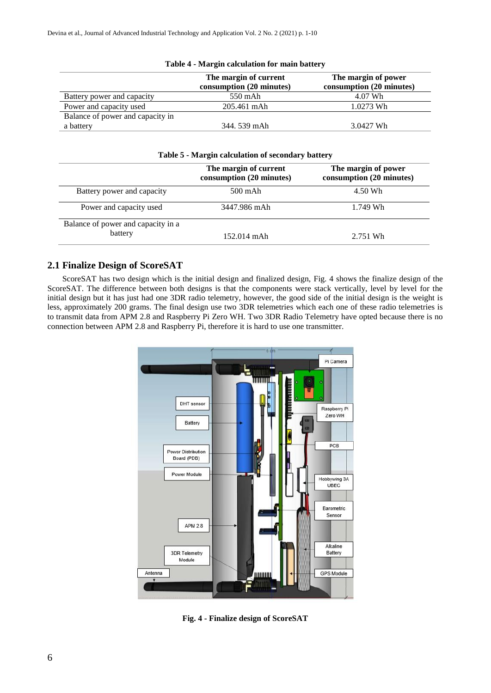|                                  | The margin of current<br>consumption (20 minutes) | The margin of power<br>consumption (20 minutes) |
|----------------------------------|---------------------------------------------------|-------------------------------------------------|
| Battery power and capacity       | 550 mAh                                           | 4.07 Wh                                         |
| Power and capacity used          | 205.461 mAh                                       | 1.0273 Wh                                       |
| Balance of power and capacity in |                                                   |                                                 |
| a battery                        | 344.539 mAh                                       | 3.0427 Wh                                       |

## **Table 4 - Margin calculation for main battery**

|                                    | The margin of current<br>consumption (20 minutes) | The margin of power<br>consumption (20 minutes) |
|------------------------------------|---------------------------------------------------|-------------------------------------------------|
| Battery power and capacity         | $500 \text{ mA}$ h                                | 4.50 Wh                                         |
| Power and capacity used            | 3447.986 mAh                                      | 1.749 Wh                                        |
| Balance of power and capacity in a |                                                   |                                                 |
| battery                            | $152.014$ mAh                                     | 2.751 Wh                                        |

## **2.1 Finalize Design of ScoreSAT**

ScoreSAT has two design which is the initial design and finalized design, Fig. 4 shows the finalize design of the ScoreSAT. The difference between both designs is that the components were stack vertically, level by level for the initial design but it has just had one 3DR radio telemetry, however, the good side of the initial design is the weight is less, approximately 200 grams. The final design use two 3DR telemetries which each one of these radio telemetries is to transmit data from APM 2.8 and Raspberry Pi Zero WH. Two 3DR Radio Telemetry have opted because there is no connection between APM 2.8 and Raspberry Pi, therefore it is hard to use one transmitter.



**Fig. 4 - Finalize design of ScoreSAT**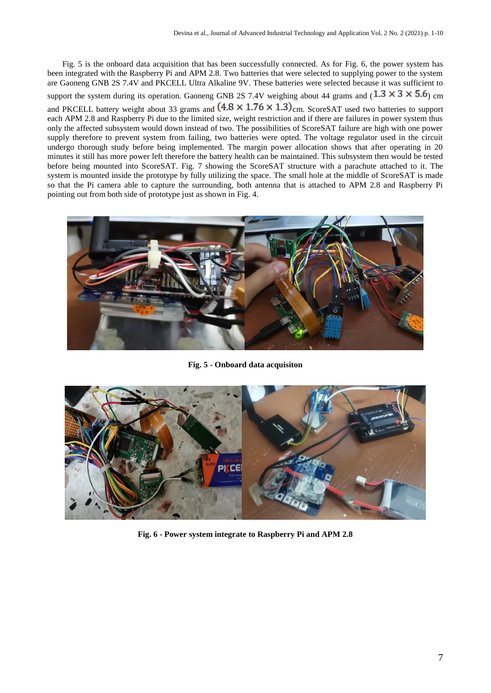Fig. 5 is the onboard data acquisition that has been successfully connected. As for Fig. 6, the power system has been integrated with the Raspberry Pi and APM 2.8. Two batteries that were selected to supplying power to the system are Gaoneng GNB 2S 7.4V and PKCELL Ultra Alkaline 9V. These batteries were selected because it was sufficient to support the system during its operation. Gaoneng GNB 2S 7.4V weighing about 44 grams and  $(1.3 \times 3 \times 5.6)$  cm and PKCELL battery weight about 33 grams and  $(4.8 \times 1.76 \times 1.3)$ <sub>cm.</sub> ScoreSAT used two batteries to support each APM 2.8 and Raspberry Pi due to the limited size, weight restriction and if there are failures in power system thus only the affected subsystem would down instead of two. The possibilities of ScoreSAT failure are high with one power supply therefore to prevent system from failing, two batteries were opted. The voltage regulator used in the circuit undergo thorough study before being implemented. The margin power allocation shows that after operating in 20 minutes it still has more power left therefore the battery health can be maintained. This subsystem then would be tested before being mounted into ScoreSAT. Fig. 7 showing the ScoreSAT structure with a parachute attached to it. The system is mounted inside the prototype by fully utilizing the space. The small hole at the middle of ScoreSAT is made so that the Pi camera able to capture the surrounding, both antenna that is attached to APM 2.8 and Raspberry Pi pointing out from both side of prototype just as shown in Fig. 4.



**Fig. 5 - Onboard data acquisiton**



**Fig. 6 - Power system integrate to Raspberry Pi and APM 2.8**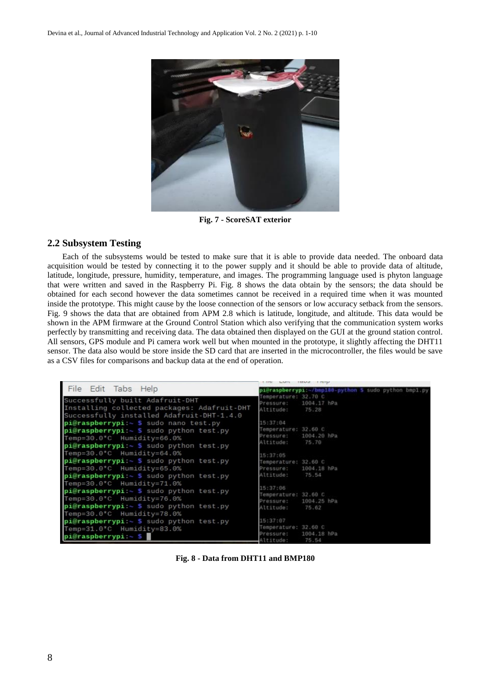

**Fig. 7 - ScoreSAT exterior**

## **2.2 Subsystem Testing**

Each of the subsystems would be tested to make sure that it is able to provide data needed. The onboard data acquisition would be tested by connecting it to the power supply and it should be able to provide data of altitude, latitude, longitude, pressure, humidity, temperature, and images. The programming language used is phyton language that were written and saved in the Raspberry Pi. Fig. 8 shows the data obtain by the sensors; the data should be obtained for each second however the data sometimes cannot be received in a required time when it was mounted inside the prototype. This might cause by the loose connection of the sensors or low accuracy setback from the sensors. Fig. 9 shows the data that are obtained from APM 2.8 which is latitude, longitude, and altitude. This data would be shown in the APM firmware at the Ground Control Station which also verifying that the communication system works perfectly by transmitting and receiving data. The data obtained then displayed on the GUI at the ground station control. All sensors, GPS module and Pi camera work well but when mounted in the prototype, it slightly affecting the DHT11 sensor. The data also would be store inside the SD card that are inserted in the microcontroller, the files would be save as a CSV files for comparisons and backup data at the end of operation.

|                                                                                                                                                                                       | LILL PAUL LONG LICEN                                                               |
|---------------------------------------------------------------------------------------------------------------------------------------------------------------------------------------|------------------------------------------------------------------------------------|
| File Edit Tabs Help                                                                                                                                                                   | pi@raspberrypi:~/bmp180-python S sudo python bmp1.py                               |
| Successfully built Adafruit-DHT<br>Installing collected packages: Adafruit-DHT<br>Successfully installed Adafruit-DHT-1.4.0                                                           | Temperature; 32.70 C<br>Pressure:<br>1004.17 hPa<br>Altitude: 75.28                |
| $pi@raspberrypi:~$ S sudo nano test.py<br>$pi@raspberrypi:~$ S sudo python test.py<br>Temp=30.0*C Humidity=66.0%<br>pi@raspberrypi:~ \$ sudo python test.py                           | 15:37:84<br>Temperature: 32.60 C<br>1004.20 hPa<br>Pressure:<br>Altitude:<br>75.78 |
| Temp=30.0 $°C$ Humidity=64.0%<br>$pi@raspberrypi:~ $$ sudo python test.py<br>Temp=30.0*C Humidity=65.0%<br>pi@raspberrypi:~ \$ sudo python test.py                                    | 15:37:85<br>Temperature: 32.60 C<br>1004.18 hPa<br>Pressure:<br>Altitude: 75.54    |
| Temp=30.0 $°C$ Humidity=71.0%<br>$pi@raspberrypi:~$ \$ sudo python test.py<br>Temp=30.0*C Humidity=76.0%<br>$pi@raspberrypi:~ $ sudo python test.py$<br>Temp=30.0 $°C$ Humidity=78.0% | 15:37:06<br>Temperature: 32.60 C<br>Pressure: 1004.25 hPa<br>Altitude: 75.62       |
| $pi@raspberrypi:~ $$ sudo python test.py<br>Temp=31.0*C Humidity=83.0%<br>pi@raspberrypi:~ \$                                                                                         | 15:37:87<br>Temperature: 32.60 C<br>1004.18 hPa<br>Pressure:<br>Altitude:<br>75.54 |

**Fig. 8 - Data from DHT11 and BMP180**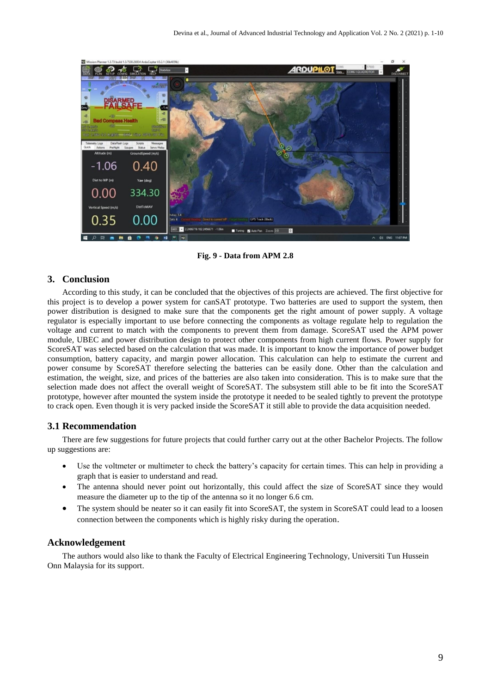

**Fig. 9 - Data from APM 2.8**

## **3. Conclusion**

According to this study, it can be concluded that the objectives of this projects are achieved. The first objective for this project is to develop a power system for canSAT prototype. Two batteries are used to support the system, then power distribution is designed to make sure that the components get the right amount of power supply. A voltage regulator is especially important to use before connecting the components as voltage regulate help to regulation the voltage and current to match with the components to prevent them from damage. ScoreSAT used the APM power module, UBEC and power distribution design to protect other components from high current flows. Power supply for ScoreSAT was selected based on the calculation that was made. It is important to know the importance of power budget consumption, battery capacity, and margin power allocation. This calculation can help to estimate the current and power consume by ScoreSAT therefore selecting the batteries can be easily done. Other than the calculation and estimation, the weight, size, and prices of the batteries are also taken into consideration. This is to make sure that the selection made does not affect the overall weight of ScoreSAT. The subsystem still able to be fit into the ScoreSAT prototype, however after mounted the system inside the prototype it needed to be sealed tightly to prevent the prototype to crack open. Even though it is very packed inside the ScoreSAT it still able to provide the data acquisition needed.

## **3.1 Recommendation**

There are few suggestions for future projects that could further carry out at the other Bachelor Projects. The follow up suggestions are:

- Use the voltmeter or multimeter to check the battery's capacity for certain times. This can help in providing a graph that is easier to understand and read.
- The antenna should never point out horizontally, this could affect the size of ScoreSAT since they would measure the diameter up to the tip of the antenna so it no longer 6.6 cm.
- The system should be neater so it can easily fit into ScoreSAT, the system in ScoreSAT could lead to a loosen connection between the components which is highly risky during the operation.

#### **Acknowledgement**

The authors would also like to thank the Faculty of Electrical Engineering Technology, Universiti Tun Hussein Onn Malaysia for its support.